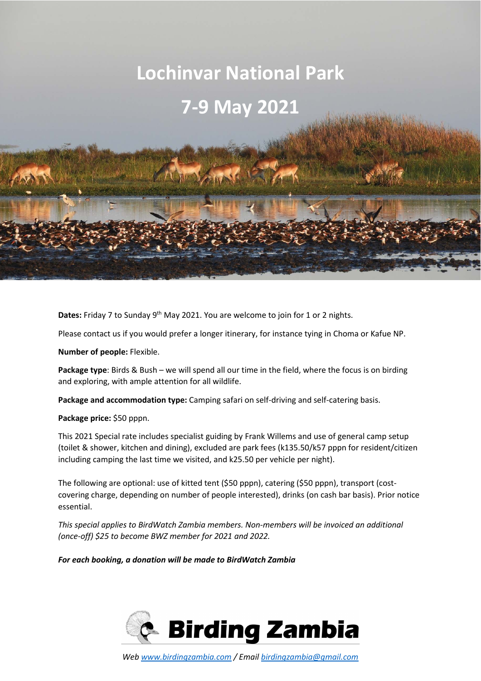# **Lochinvar National Park**

## **7-9 May 2021**

**Dates:** Friday 7 to Sunday 9<sup>th</sup> May 2021. You are welcome to join for 1 or 2 nights.

Please contact us if you would prefer a longer itinerary, for instance tying in Choma or Kafue NP.

**Number of people:** Flexible.

**Package type**: Birds & Bush – we will spend all our time in the field, where the focus is on birding and exploring, with ample attention for all wildlife.

**Package and accommodation type:** Camping safari on self-driving and self-catering basis.

**Package price:** \$50 pppn.

This 2021 Special rate includes specialist guiding by Frank Willems and use of general camp setup (toilet & shower, kitchen and dining), excluded are park fees (k135.50/k57 pppn for resident/citizen including camping the last time we visited, and k25.50 per vehicle per night).

The following are optional: use of kitted tent (\$50 pppn), catering (\$50 pppn), transport (costcovering charge, depending on number of people interested), drinks (on cash bar basis). Prior notice essential.

*This special applies to BirdWatch Zambia members. Non-members will be invoiced an additional (once-off) \$25 to become BWZ member for 2021 and 2022.* 

*For each booking, a donation will be made to BirdWatch Zambia* 

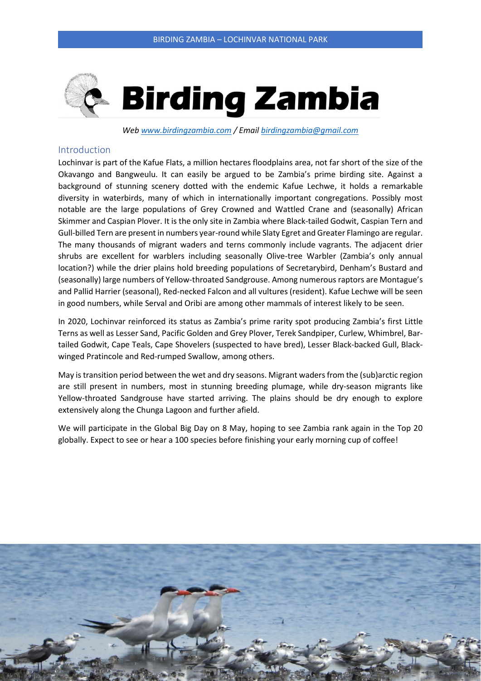

*Web www.birdingzambia.com / Email birdingzambia@gmail.com* 

#### Introduction

Lochinvar is part of the Kafue Flats, a million hectares floodplains area, not far short of the size of the Okavango and Bangweulu. It can easily be argued to be Zambia's prime birding site. Against a background of stunning scenery dotted with the endemic Kafue Lechwe, it holds a remarkable diversity in waterbirds, many of which in internationally important congregations. Possibly most notable are the large populations of Grey Crowned and Wattled Crane and (seasonally) African Skimmer and Caspian Plover. It is the only site in Zambia where Black-tailed Godwit, Caspian Tern and Gull-billed Tern are present in numbers year-round while Slaty Egret and Greater Flamingo are regular. The many thousands of migrant waders and terns commonly include vagrants. The adjacent drier shrubs are excellent for warblers including seasonally Olive-tree Warbler (Zambia's only annual location?) while the drier plains hold breeding populations of Secretarybird, Denham's Bustard and (seasonally) large numbers of Yellow-throated Sandgrouse. Among numerous raptors are Montague's and Pallid Harrier (seasonal), Red-necked Falcon and all vultures (resident). Kafue Lechwe will be seen in good numbers, while Serval and Oribi are among other mammals of interest likely to be seen.

In 2020, Lochinvar reinforced its status as Zambia's prime rarity spot producing Zambia's first Little Terns as well as Lesser Sand, Pacific Golden and Grey Plover, Terek Sandpiper, Curlew, Whimbrel, Bartailed Godwit, Cape Teals, Cape Shovelers (suspected to have bred), Lesser Black-backed Gull, Blackwinged Pratincole and Red-rumped Swallow, among others.

May is transition period between the wet and dry seasons. Migrant waders from the (sub)arctic region are still present in numbers, most in stunning breeding plumage, while dry-season migrants like Yellow-throated Sandgrouse have started arriving. The plains should be dry enough to explore extensively along the Chunga Lagoon and further afield.

We will participate in the Global Big Day on 8 May, hoping to see Zambia rank again in the Top 20 globally. Expect to see or hear a 100 species before finishing your early morning cup of coffee!

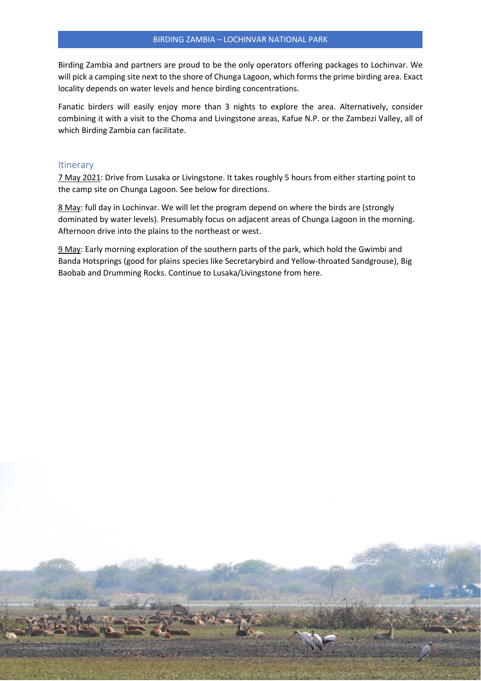Birding Zambia and partners are proud to be the only operators offering packages to Lochinvar. We will pick a camping site next to the shore of Chunga Lagoon, which forms the prime birding area. Exact locality depends on water levels and hence birding concentrations.

Fanatic birders will easily enjoy more than 3 nights to explore the area. Alternatively, consider combining it with a visit to the Choma and Livingstone areas, Kafue N.P. or the Zambezi Valley, all of which Birding Zambia can facilitate.

#### **Itinerary**

7 May 2021: Drive from Lusaka or Livingstone. It takes roughly 5 hours from either starting point to the camp site on Chunga Lagoon. See below for directions.

8 May: full day in Lochinvar. We will let the program depend on where the birds are (strongly dominated by water levels). Presumably focus on adjacent areas of Chunga Lagoon in the morning. Afternoon drive into the plains to the northeast or west.

9 May: Early morning exploration of the southern parts of the park, which hold the Gwimbi and Banda Hotsprings (good for plains species like Secretarybird and Yellow-throated Sandgrouse), Big Baobab and Drumming Rocks. Continue to Lusaka/Livingstone from here.